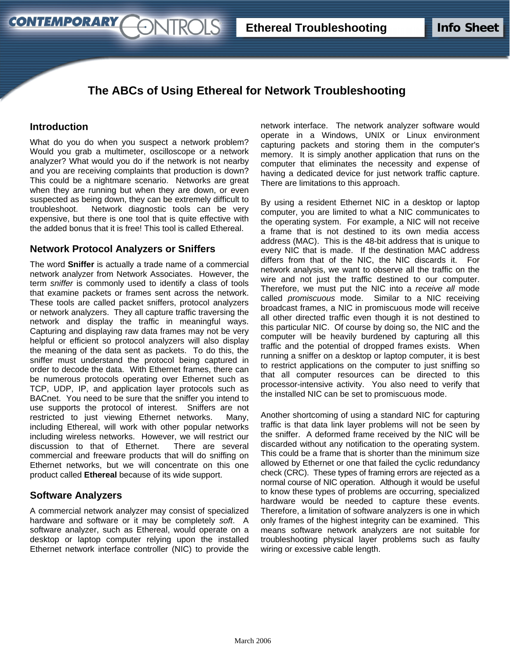# **The ABCs of Using Ethereal for Network Troubleshooting**

#### **Introduction**

**CONTEMPORARY** 

What do you do when you suspect a network problem? Would you grab a multimeter, oscilloscope or a network analyzer? What would you do if the network is not nearby and you are receiving complaints that production is down? This could be a nightmare scenario. Networks are great when they are running but when they are down, or even suspected as being down, they can be extremely difficult to troubleshoot. Network diagnostic tools can be very expensive, but there is one tool that is quite effective with the added bonus that it is free! This tool is called Ethereal.

*<u>ENTROLS</u>* 

### **Network Protocol Analyzers or Sniffers**

The word **Sniffer** is actually a trade name of a commercial network analyzer from Network Associates. However, the term *sniffer* is commonly used to identify a class of tools that examine packets or frames sent across the network. These tools are called packet sniffers, protocol analyzers or network analyzers. They all capture traffic traversing the network and display the traffic in meaningful ways. Capturing and displaying raw data frames may not be very helpful or efficient so protocol analyzers will also display the meaning of the data sent as packets. To do this, the sniffer must understand the protocol being captured in order to decode the data. With Ethernet frames, there can be numerous protocols operating over Ethernet such as TCP, UDP, IP, and application layer protocols such as BACnet. You need to be sure that the sniffer you intend to use supports the protocol of interest. Sniffers are not restricted to just viewing Ethernet networks. Many, including Ethereal, will work with other popular networks including wireless networks. However, we will restrict our discussion to that of Ethernet. There are several commercial and freeware products that will do sniffing on Ethernet networks, but we will concentrate on this one product called **Ethereal** because of its wide support.

### **Software Analyzers**

A commercial network analyzer may consist of specialized hardware and software or it may be completely *soft*. A software analyzer, such as Ethereal, would operate on a desktop or laptop computer relying upon the installed Ethernet network interface controller (NIC) to provide the network interface. The network analyzer software would operate in a Windows, UNIX or Linux environment capturing packets and storing them in the computer's memory. It is simply another application that runs on the computer that eliminates the necessity and expense of having a dedicated device for just network traffic capture. There are limitations to this approach.

By using a resident Ethernet NIC in a desktop or laptop computer, you are limited to what a NIC communicates to the operating system. For example, a NIC will not receive a frame that is not destined to its own media access address (MAC). This is the 48-bit address that is unique to every NIC that is made. If the destination MAC address differs from that of the NIC, the NIC discards it. For network analysis, we want to observe all the traffic on the wire and not just the traffic destined to our computer. Therefore, we must put the NIC into a *receive all* mode called *promiscuous* mode. Similar to a NIC receiving broadcast frames, a NIC in promiscuous mode will receive all other directed traffic even though it is not destined to this particular NIC. Of course by doing so, the NIC and the computer will be heavily burdened by capturing all this traffic and the potential of dropped frames exists. When running a sniffer on a desktop or laptop computer, it is best to restrict applications on the computer to just sniffing so that all computer resources can be directed to this processor-intensive activity. You also need to verify that the installed NIC can be set to promiscuous mode.

Another shortcoming of using a standard NIC for capturing traffic is that data link layer problems will not be seen by the sniffer. A deformed frame received by the NIC will be discarded without any notification to the operating system. This could be a frame that is shorter than the minimum size allowed by Ethernet or one that failed the cyclic redundancy check (CRC). These types of framing errors are rejected as a normal course of NIC operation. Although it would be useful to know these types of problems are occurring, specialized hardware would be needed to capture these events. Therefore, a limitation of software analyzers is one in which only frames of the highest integrity can be examined. This means software network analyzers are not suitable for troubleshooting physical layer problems such as faulty wiring or excessive cable length.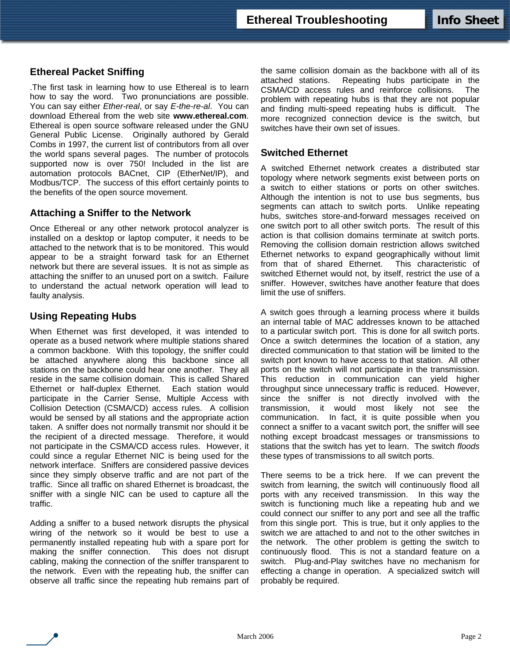## **Ethereal Packet Sniffing**

.The first task in learning how to use Ethereal is to learn how to say the word. Two pronunciations are possible. You can say either *Ether-real*, or say *E-the-re-al*. You can download Ethereal from the web site **www.ethereal.com**. Ethereal is open source software released under the GNU General Public License. Originally authored by Gerald Combs in 1997, the current list of contributors from all over the world spans several pages. The number of protocols supported now is over 750! Included in the list are automation protocols BACnet, CIP (EtherNet/IP), and Modbus/TCP. The success of this effort certainly points to the benefits of the open source movement.

#### **Attaching a Sniffer to the Network**

Once Ethereal or any other network protocol analyzer is installed on a desktop or laptop computer, it needs to be attached to the network that is to be monitored. This would appear to be a straight forward task for an Ethernet network but there are several issues. It is not as simple as attaching the sniffer to an unused port on a switch. Failure to understand the actual network operation will lead to faulty analysis.

### **Using Repeating Hubs**

When Ethernet was first developed, it was intended to operate as a bused network where multiple stations shared a common backbone. With this topology, the sniffer could be attached anywhere along this backbone since all stations on the backbone could hear one another. They all reside in the same collision domain. This is called Shared Ethernet or half-duplex Ethernet. Each station would participate in the Carrier Sense, Multiple Access with Collision Detection (CSMA/CD) access rules. A collision would be sensed by all stations and the appropriate action taken. A sniffer does not normally transmit nor should it be the recipient of a directed message. Therefore, it would not participate in the CSMA/CD access rules. However, it could since a regular Ethernet NIC is being used for the network interface. Sniffers are considered passive devices since they simply observe traffic and are not part of the traffic. Since all traffic on shared Ethernet is broadcast, the sniffer with a single NIC can be used to capture all the traffic.

Adding a sniffer to a bused network disrupts the physical wiring of the network so it would be best to use a permanently installed repeating hub with a spare port for making the sniffer connection. This does not disrupt cabling, making the connection of the sniffer transparent to the network. Even with the repeating hub, the sniffer can observe all traffic since the repeating hub remains part of the same collision domain as the backbone with all of its attached stations. Repeating hubs participate in the CSMA/CD access rules and reinforce collisions. The problem with repeating hubs is that they are not popular and finding multi-speed repeating hubs is difficult. The more recognized connection device is the switch, but switches have their own set of issues.

#### **Switched Ethernet**

A switched Ethernet network creates a distributed star topology where network segments exist between ports on a switch to either stations or ports on other switches. Although the intention is not to use bus segments, bus segments can attach to switch ports. Unlike repeating hubs, switches store-and-forward messages received on one switch port to all other switch ports. The result of this action is that collision domains terminate at switch ports. Removing the collision domain restriction allows switched Ethernet networks to expand geographically without limit from that of shared Ethernet. This characteristic of switched Ethernet would not, by itself, restrict the use of a sniffer. However, switches have another feature that does limit the use of sniffers.

A switch goes through a learning process where it builds an internal table of MAC addresses known to be attached to a particular switch port. This is done for all switch ports. Once a switch determines the location of a station, any directed communication to that station will be limited to the switch port known to have access to that station. All other ports on the switch will not participate in the transmission. This reduction in communication can yield higher throughput since unnecessary traffic is reduced. However, since the sniffer is not directly involved with the transmission, it would most likely not see the communication. In fact, it is quite possible when you connect a sniffer to a vacant switch port, the sniffer will see nothing except broadcast messages or transmissions to stations that the switch has yet to learn. The switch *floods* these types of transmissions to all switch ports.

There seems to be a trick here. If we can prevent the switch from learning, the switch will continuously flood all ports with any received transmission. In this way the switch is functioning much like a repeating hub and we could connect our sniffer to any port and see all the traffic from this single port. This is true, but it only applies to the switch we are attached to and not to the other switches in the network. The other problem is getting the switch to continuously flood. This is not a standard feature on a switch. Plug-and-Play switches have no mechanism for effecting a change in operation. A specialized switch will probably be required.

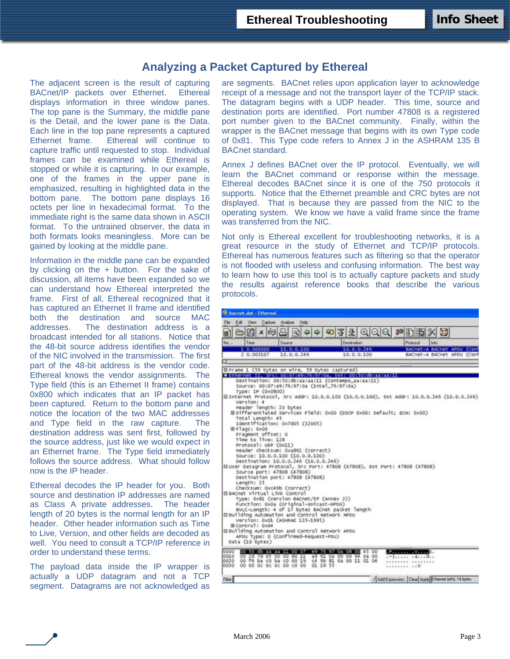## **Analyzing a Packet Captured by Ethereal**

The adjacent screen is the result of capturing BACnet/IP packets over Ethernet. Ethereal displays information in three window panes. The top pane is the Summary, the middle pane is the Detail, and the lower pane is the Data. Each line in the top pane represents a captured Ethernet frame. Ethereal will continue to capture traffic until requested to stop. Individual frames can be examined while Ethereal is stopped or while it is capturing. In our example, one of the frames in the upper pane is emphasized, resulting in highlighted data in the bottom pane. The bottom pane displays 16 octets per line in hexadecimal format. To the immediate right is the same data shown in ASCII format. To the untrained observer, the data in both formats looks meaningless. More can be gained by looking at the middle pane.

Information in the middle pane can be expanded by clicking on the + button. For the sake of discussion, all items have been expanded so we can understand how Ethereal interpreted the frame. First of all, Ethereal recognized that it has captured an Ethernet II frame and identified both the destination and source MAC addresses. The destination address is a broadcast intended for all stations. Notice that the 48-bit source address identifies the vendor of the NIC involved in the transmission. The first part of the 48-bit address is the vendor code. Ethereal knows the vendor assignments. The Type field (this is an Ethernet II frame) contains 0x800 which indicates that an IP packet has been captured. Return to the bottom pane and notice the location of the two MAC addresses and Type field in the raw capture. The destination address was sent first, followed by the source address, just like we would expect in an Ethernet frame. The Type field immediately follows the source address. What should follow now is the IP header.

Ethereal decodes the IP header for you. Both source and destination IP addresses are named as Class A private addresses. The header length of 20 bytes is the normal length for an IP header. Other header information such as Time to Live, Version, and other fields are decoded as well. You need to consult a TCP/IP reference in order to understand these terms.

The payload data inside the IP wrapper is actually a UDP datagram and not a TCP segment. Datagrams are not acknowledged as

are segments. BACnet relies upon application layer to acknowledge receipt of a message and not the transport layer of the TCP/IP stack. The datagram begins with a UDP header. This time, source and destination ports are identified. Port number 47808 is a registered port number given to the BACnet community. Finally, within the wrapper is the BACnet message that begins with its own Type code of 0x81. This Type code refers to Annex J in the ASHRAM 135 B BACnet standard.

Annex J defines BACnet over the IP protocol. Eventually, we will learn the BACnet command or response within the message. Ethereal decodes BACnet since it is one of the 750 protocols it supports. Notice that the Ethernet preamble and CRC bytes are not displayed. That is because they are passed from the NIC to the operating system. We know we have a valid frame since the frame was transferred from the NIC.

Not only is Ethereal excellent for troubleshooting networks, it is a great resource in the study of Ethernet and TCP/IP protocols. Ethereal has numerous features such as filtering so that the operator is not flooded with useless and confusing information. The best way to learn how to use this tool is to actually capture packets and study the results against reference books that describe the various protocols.

| 주 2 이 이 이 여 마 15<br>$x \approx$<br>œ<br>Ø.<br>Destination<br>Psotocol<br>No.<br>Time<br>Source<br>10.0.0.100<br>1 0.000000<br>10.0.0.246<br>2 0.003107<br>10.0.0.246<br>10.0.0.100<br>EFrame 1 (59 bytes on wire, 59 bytes captured)<br># Ethernet II, Src: 00:07:e9:76:97:0a, Dst: 00:50:db:aa:aa:11<br>Destination: 00:50:db:aa:aa:11 (Contempo_aa:aa:11)<br>Source: 00:07:e9:76:97:0a (Intel_76:97:0a)<br>Type: IP (0x0800)<br>B Internet Protocol, Src Addr: 10.0.0.100 (10.0.0.100), Dst Addr: 10.0.0.246 (10.0.0.246)<br>Version: 4<br>Header length: 20 bytes<br>EDifferentiated Services Field: 0x00 (DSCP 0x00: Default: ECN: 0x00)<br>Total Length: 45<br>Identification: 0x7d05 (32005)<br>图 Flags: 0x00<br>Fragment offset: 0<br>Time to live: 128<br>Protocol: UDP (0x11)<br>Header checksum: 0xa861 (correct)<br>Source: 10.0.0.100 (10.0.0.100)<br>Destination: 10.0.0.246 (10.0.0.246)<br>Eluser Datagram Protocol, Src Port: 47808 (47808), Dst Port: 47808 (47808)<br>Source port: 47808 (47808) | XD<br>Info<br>BACnet-A BACnet APDU (Cont<br>BACnet-A BACnet APDU (Conf |
|--------------------------------------------------------------------------------------------------------------------------------------------------------------------------------------------------------------------------------------------------------------------------------------------------------------------------------------------------------------------------------------------------------------------------------------------------------------------------------------------------------------------------------------------------------------------------------------------------------------------------------------------------------------------------------------------------------------------------------------------------------------------------------------------------------------------------------------------------------------------------------------------------------------------------------------------------------------------------------------------------------------------|------------------------------------------------------------------------|
|                                                                                                                                                                                                                                                                                                                                                                                                                                                                                                                                                                                                                                                                                                                                                                                                                                                                                                                                                                                                                    |                                                                        |
|                                                                                                                                                                                                                                                                                                                                                                                                                                                                                                                                                                                                                                                                                                                                                                                                                                                                                                                                                                                                                    |                                                                        |
|                                                                                                                                                                                                                                                                                                                                                                                                                                                                                                                                                                                                                                                                                                                                                                                                                                                                                                                                                                                                                    |                                                                        |
|                                                                                                                                                                                                                                                                                                                                                                                                                                                                                                                                                                                                                                                                                                                                                                                                                                                                                                                                                                                                                    |                                                                        |
|                                                                                                                                                                                                                                                                                                                                                                                                                                                                                                                                                                                                                                                                                                                                                                                                                                                                                                                                                                                                                    |                                                                        |
|                                                                                                                                                                                                                                                                                                                                                                                                                                                                                                                                                                                                                                                                                                                                                                                                                                                                                                                                                                                                                    |                                                                        |
| Destination port: 47808 (47808)<br>Length: 25<br>Checksum: 0xc49b (correct)<br><b>BBACnet Virtual Link Control</b><br>Type: 0x81 (version BACnet/IP (Annex 3))<br>Function: 0x0a (Original-Unicast-NPDU)<br>BVLC-Length: 4 of 17 bytes BACnet packet length<br>Bouilding Automation and Control Network NPDU<br>Version: 0x01 (ASHRAE 135-1995)<br>BControl: 0x04<br>B 8uilding Automation and Control Network APDU                                                                                                                                                                                                                                                                                                                                                                                                                                                                                                                                                                                                |                                                                        |